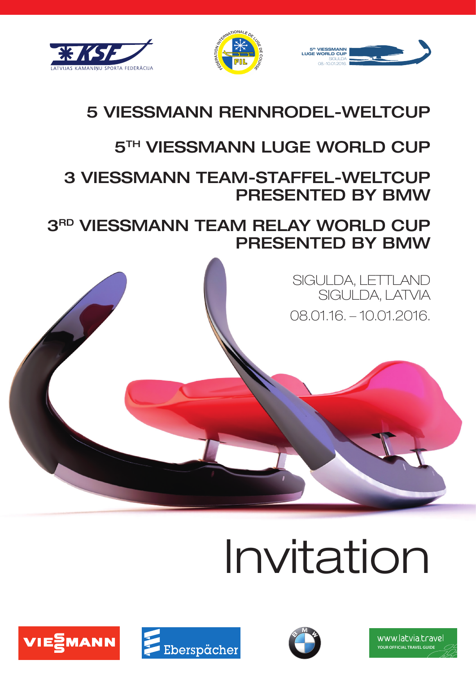





## 5 VIESSMANN RENNRODEL-WELTCUP

## **5TH VIESSMANN LUGE WORLD CUP**

## 3 VIESSMANN TEAM-STAFFEL-WELTCUP PRESENTED BY BMW

3RD VIESSMANN TEAM RELAY WORLD CUP PRESENTED BY BMW

> SIGULDA, LETTLAND SIGULDA, LATVIA 08.01.16. – 10.01.2016.

# Invitation







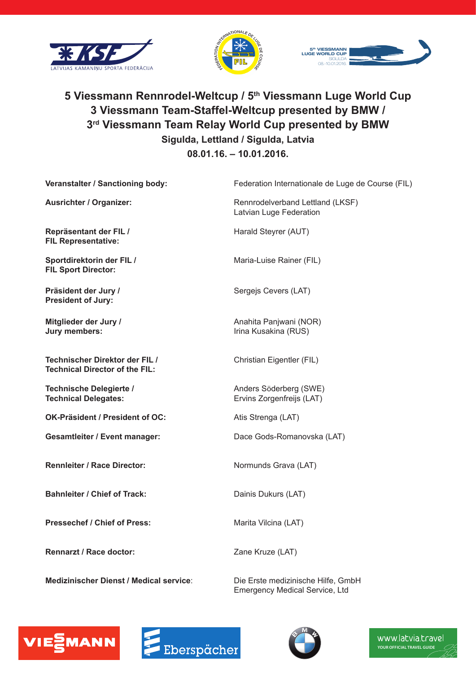





### **5 Viessmann Rennrodel-Weltcup / 5th Viessmann Luge World Cup 3 Viessmann Team-Staffel-Weltcup presented by BMW / 3rd Viessmann Team Relay World Cup presented by BMW Sigulda, Lettland / Sigulda, Latvia 08.01.16. – 10.01.2016.**

| Veranstalter / Sanctioning body:                                        | Federation Internationale de Luge de Course (FIL)           |
|-------------------------------------------------------------------------|-------------------------------------------------------------|
| <b>Ausrichter / Organizer:</b>                                          | Rennrodelverband Lettland (LKSF)<br>Latvian Luge Federation |
| Repräsentant der FIL /<br><b>FIL Representative:</b>                    | Harald Steyrer (AUT)                                        |
| Sportdirektorin der FIL /<br><b>FIL Sport Director:</b>                 | Maria-Luise Rainer (FIL)                                    |
| Präsident der Jury /<br><b>President of Jury:</b>                       | Sergejs Cevers (LAT)                                        |
| Mitglieder der Jury /<br>Jury members:                                  | Anahita Panjwani (NOR)<br>Irina Kusakina (RUS)              |
| Technischer Direktor der FIL /<br><b>Technical Director of the FIL:</b> | Christian Eigentler (FIL)                                   |
| Technische Delegierte /<br><b>Technical Delegates:</b>                  | Anders Söderberg (SWE)<br>Ervins Zorgenfreijs (LAT)         |
| OK-Präsident / President of OC:                                         | Atis Strenga (LAT)                                          |
| <b>Gesamtleiter / Event manager:</b>                                    | Dace Gods-Romanovska (LAT)                                  |
| <b>Rennleiter / Race Director:</b>                                      | Normunds Grava (LAT)                                        |
| <b>Bahnleiter / Chief of Track:</b>                                     | Dainis Dukurs (LAT)                                         |
| <b>Pressechef / Chief of Press:</b>                                     | Marita Vilcina (LAT)                                        |
| Rennarzt / Race doctor:                                                 | Zane Kruze (LAT)                                            |

**Medizinischer Dienst / Medical service**: Die Erste medizinische Hilfe, GmbH

Emergency Medical Service, Ltd





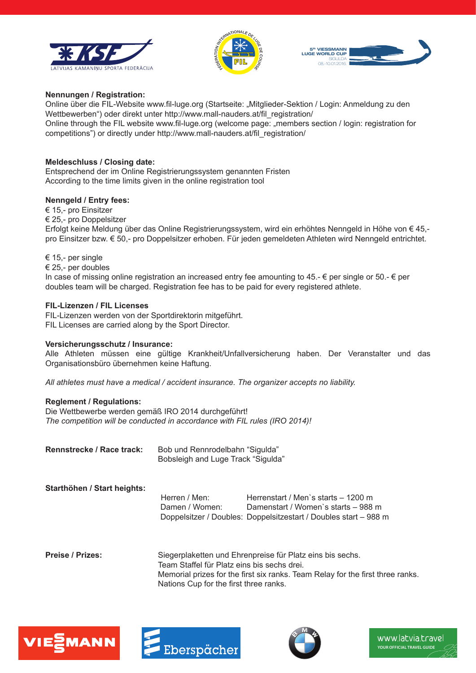





#### **Nennungen / Registration:**

Online über die FIL-Website www.fil-luge.org (Startseite: "Mitglieder-Sektion / Login: Anmeldung zu den Wettbewerben") oder direkt unter http://www.mall-nauders.at/fil\_registration/ Online through the FIL website www.fil-luge.org (welcome page: "members section / login: registration for competitions") or directly under http://www.mall-nauders.at/fil\_registration/

#### **Meldeschluss / Closing date:**

Entsprechend der im Online Registrierungssystem genannten Fristen According to the time limits given in the online registration tool

#### **Nenngeld / Entry fees:**

€ 15,- pro Einsitzer

€ 25,- pro Doppelsitzer

Erfolgt keine Meldung über das Online Registrierungssystem, wird ein erhöhtes Nenngeld in Höhe von € 45, pro Einsitzer bzw. € 50,- pro Doppelsitzer erhoben. Für jeden gemeldeten Athleten wird Nenngeld entrichtet.

€ 15,- per single

€ 25,- per doubles

In case of missing online registration an increased entry fee amounting to 45.-  $\epsilon$  per single or 50.-  $\epsilon$  per doubles team will be charged. Registration fee has to be paid for every registered athlete.

#### **FIL-Lizenzen / FIL Licenses**

FIL-Lizenzen werden von der Sportdirektorin mitgeführt. FIL Licenses are carried along by the Sport Director.

#### **Versicherungsschutz / Insurance:**

Alle Athleten müssen eine gültige Krankheit/Unfallversicherung haben. Der Veranstalter und das Organisationsbüro übernehmen keine Haftung.

*All athletes must have a medical / accident insurance. The organizer accepts no liability.*

#### **Reglement / Regulations:**

Die Wettbewerbe werden gemäß IRO 2014 durchgeführt! *The competition will be conducted in accordance with FIL rules (IRO 2014)!*

| Rennstrecke / Race track: | Bob und Rennrodelbahn "Sigulda"    |
|---------------------------|------------------------------------|
|                           | Bobsleigh and Luge Track "Sigulda" |

#### **Starthöhen / Start heights:**

 Herren / Men: Herrenstart / Men`s starts – 1200 m Damen / Women: Damenstart / Women`s starts – 988 m Doppelsitzer / Doubles: Doppelsitzestart / Doubles start – 988 m

**Preise / Prizes:** Siegerplaketten und Ehrenpreise für Platz eins bis sechs. Team Staffel für Platz eins bis sechs drei. Memorial prizes for the first six ranks. Team Relay for the first three ranks. Nations Cup for the first three ranks.





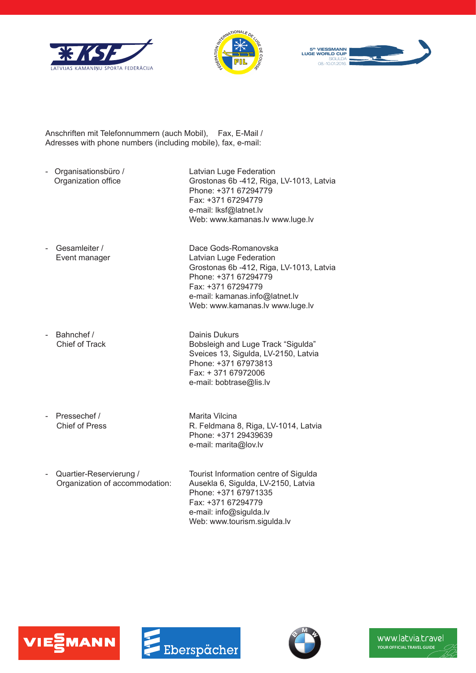





Anschriften mit Telefonnummern (auch Mobil), Fax, E-Mail / Adresses with phone numbers (including mobile), fax, e-mail:

- Organisationsbüro / Latvian Luge Federation

Organization office Grostonas 6b -412, Riga, LV-1013, Latvia Phone: +371 67294779 Fax: +371 67294779 e-mail: lksf@latnet.lv Web: www.kamanas.lv www.luge.lv

Grostonas 6b -412, Riga, LV-1013, Latvia

Phone: +371 67294779 Fax: +371 67294779

 e-mail: kamanas.info@latnet.lv Web: www.kamanas.lv www.luge.lv

- Gesamleiter / Dace Gods-Romanovska Event manager Latvian Luge Federation

- Bahnchef / Dainis Dukurs

Chief of Track **Bobsleigh and Luge Track "Sigulda"** Sveices 13, Sigulda, LV-2150, Latvia Phone: +371 67973813 Fax: + 371 67972006 e-mail: bobtrase@lis.lv

Pressechef / Marita Vilcina<br>Chief of Press R. Feldmana

R. Feldmana 8, Riga, LV-1014, Latvia Phone: +371 29439639 e-mail: marita@lov.lv

Quartier-Reservierung / Tourist Information centre of Sigulda Organization of accommodation: Ausekla 6, Sigulda, LV-2150, Latvia Phone: +371 67971335 Fax: +371 67294779 e-mail: info@sigulda.lv Web: www.tourism.sigulda.lv